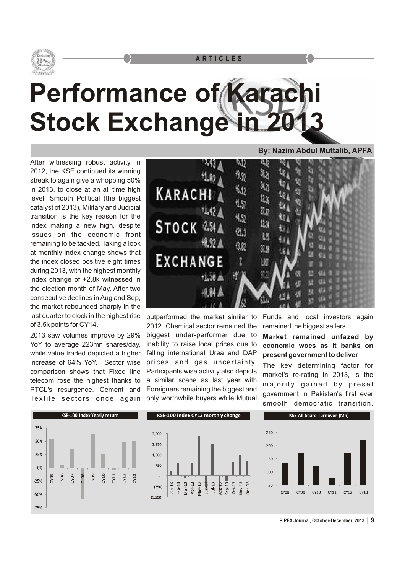

## **Performance of Karach Stock Exchange in 2**

After witnessing robust activity in 2012, the KSE continued its winning streak to again give a whopping 50% in 2013, to close at an all time high level. Smooth Political (the biggest catalyst of 2013), Military and Judicial transition is the key reason for the index making a new high, despite issues on the economic front remaining to be tackled. Taking a look at monthly index change shows that the index closed positive eight times during 2013, with the highest monthly index change of +2.8k witnessed in the election month of May. After two consecutive declines in Aug and Sep, the market rebounded sharply in the last quarter to clock in the highest rise outperformed the market similar to Funds and local investors again<br>of 3.5k points for CY14. 2012 Chemical sector remained the remained the biggest sellers

YoY to average 223mn shares/day, inability to raise local prices due to **economic woes as it banks on**  while value traded depicted a higher falling international Urea and DAP **present government to deliver**<br>increase of 64% YoY. Sector wise prices and gas uncertainty. The law determining factor increase of 64% Yoy. Sector wise prices and gas uncertainty. The key determining factor for<br>comparison shows that Fixed line Participants wise activity also depicts  $\frac{1}{2}$  and the section in 2013, is the comparison shows that Fixed line Participants wise activity also depicts market's re-rating in 2013, is the telecom rose the highest thanks to a similar scene as last year with telecom rose the highest thanks to a similar scene as last year with majority gained by preset PECL's resurgence. Cement and Foreigners remaining the biggest and government in Pakistan's first ever Text ii



2012. Chemical sector remained the remained the biggest sellers. 2013 saw volumes improve by 29% biggest under-performer due to **Market remained unfazed by** 

**By: Nazim Abdul Muttalib, APFA**

smooth democratic transition.



**PIPFA Journal, October-December, 2013 | 9**